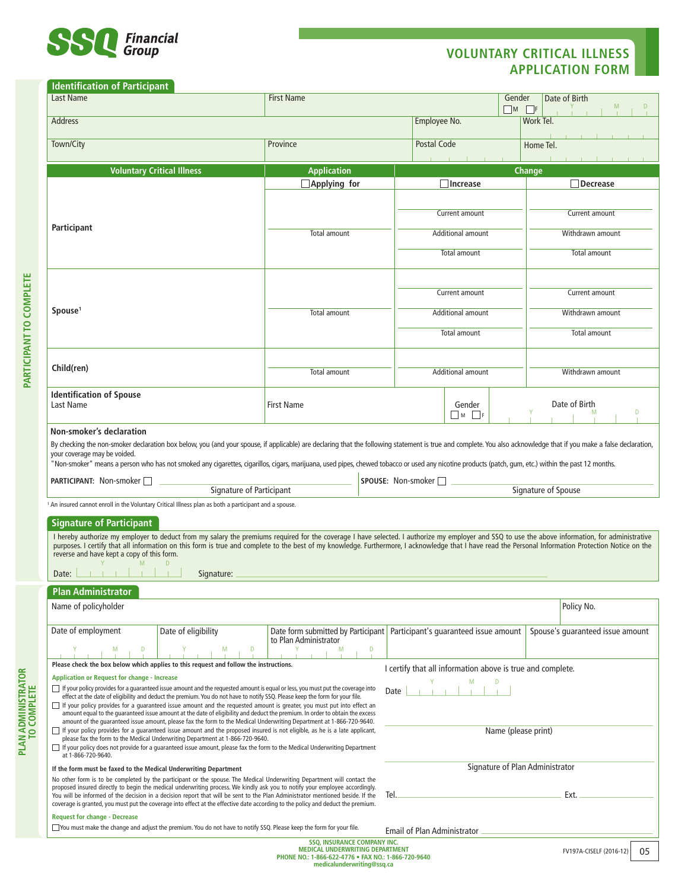

## **VOLUNTARY CRITICAL ILLNESS APPLICATION FORM**

## **Identification of Participant**

| Last Name                                                                                                                                                                                                                                                                                                                                                                                                                                                                                                                                                                                                              | <b>First Name</b><br>Gender<br>$\Box$ M                                                             |      |                                 |                                                            |                  | Date of Birth<br>$\Box$ F        |  |  |
|------------------------------------------------------------------------------------------------------------------------------------------------------------------------------------------------------------------------------------------------------------------------------------------------------------------------------------------------------------------------------------------------------------------------------------------------------------------------------------------------------------------------------------------------------------------------------------------------------------------------|-----------------------------------------------------------------------------------------------------|------|---------------------------------|------------------------------------------------------------|------------------|----------------------------------|--|--|
| <b>Address</b>                                                                                                                                                                                                                                                                                                                                                                                                                                                                                                                                                                                                         |                                                                                                     |      |                                 | Employee No.                                               |                  | Work Tel.                        |  |  |
| Town/City                                                                                                                                                                                                                                                                                                                                                                                                                                                                                                                                                                                                              | Province                                                                                            |      | Postal Code                     |                                                            |                  | Home Tel.                        |  |  |
| <b>Voluntary Critical Illness</b><br><b>Application</b>                                                                                                                                                                                                                                                                                                                                                                                                                                                                                                                                                                |                                                                                                     |      |                                 |                                                            |                  | <b>Change</b>                    |  |  |
|                                                                                                                                                                                                                                                                                                                                                                                                                                                                                                                                                                                                                        | $\Box$ Applying for                                                                                 |      |                                 | Increase                                                   |                  | Decrease                         |  |  |
|                                                                                                                                                                                                                                                                                                                                                                                                                                                                                                                                                                                                                        |                                                                                                     |      |                                 |                                                            |                  |                                  |  |  |
|                                                                                                                                                                                                                                                                                                                                                                                                                                                                                                                                                                                                                        | Total amount                                                                                        |      | Current amount                  |                                                            | Current amount   |                                  |  |  |
| Participant                                                                                                                                                                                                                                                                                                                                                                                                                                                                                                                                                                                                            |                                                                                                     |      | Additional amount               |                                                            |                  | Withdrawn amount                 |  |  |
|                                                                                                                                                                                                                                                                                                                                                                                                                                                                                                                                                                                                                        |                                                                                                     |      | Total amount                    |                                                            |                  | Total amount                     |  |  |
|                                                                                                                                                                                                                                                                                                                                                                                                                                                                                                                                                                                                                        | Total amount                                                                                        |      |                                 |                                                            |                  |                                  |  |  |
|                                                                                                                                                                                                                                                                                                                                                                                                                                                                                                                                                                                                                        |                                                                                                     |      | Current amount                  |                                                            | Current amount   |                                  |  |  |
| Spouse <sup>1</sup>                                                                                                                                                                                                                                                                                                                                                                                                                                                                                                                                                                                                    |                                                                                                     |      | Additional amount               |                                                            | Withdrawn amount |                                  |  |  |
|                                                                                                                                                                                                                                                                                                                                                                                                                                                                                                                                                                                                                        |                                                                                                     |      | Total amount                    |                                                            | Total amount     |                                  |  |  |
| Child(ren)                                                                                                                                                                                                                                                                                                                                                                                                                                                                                                                                                                                                             | <b>Total amount</b>                                                                                 |      | Additional amount               |                                                            |                  |                                  |  |  |
|                                                                                                                                                                                                                                                                                                                                                                                                                                                                                                                                                                                                                        |                                                                                                     |      |                                 |                                                            |                  | Withdrawn amount                 |  |  |
| <b>Identification of Spouse</b><br>Last Name                                                                                                                                                                                                                                                                                                                                                                                                                                                                                                                                                                           | <b>First Name</b>                                                                                   |      |                                 | Gender<br>M<br>$\blacksquare$ F                            |                  | Date of Birth<br>D               |  |  |
| Non-smoker's declaration                                                                                                                                                                                                                                                                                                                                                                                                                                                                                                                                                                                               |                                                                                                     |      |                                 |                                                            |                  |                                  |  |  |
| By checking the non-smoker declaration box below, you (and your spouse, if applicable) are declaring that the following statement is true and complete. You also acknowledge that if you make a false declaration,                                                                                                                                                                                                                                                                                                                                                                                                     |                                                                                                     |      |                                 |                                                            |                  |                                  |  |  |
| your coverage may be voided.<br>"Non-smoker" means a person who has not smoked any cigarettes, cigarillos, cigars, marijuana, used pipes, chewed tobacco or used any nicotine products (patch, qum, etc.) within the past 12 months.                                                                                                                                                                                                                                                                                                                                                                                   |                                                                                                     |      |                                 |                                                            |                  |                                  |  |  |
| <b>PARTICIPANT: Non-smoker</b>                                                                                                                                                                                                                                                                                                                                                                                                                                                                                                                                                                                         |                                                                                                     |      | SPOUSE: Non-smoker □            |                                                            |                  |                                  |  |  |
| <b>Signature of Participant</b>                                                                                                                                                                                                                                                                                                                                                                                                                                                                                                                                                                                        |                                                                                                     |      | Signature of Spouse             |                                                            |                  |                                  |  |  |
| An insured cannot enroll in the Voluntary Critical Illness plan as both a participant and a spouse.                                                                                                                                                                                                                                                                                                                                                                                                                                                                                                                    |                                                                                                     |      |                                 |                                                            |                  |                                  |  |  |
| <b>Signature of Participant</b>                                                                                                                                                                                                                                                                                                                                                                                                                                                                                                                                                                                        |                                                                                                     |      |                                 |                                                            |                  |                                  |  |  |
| I hereby authorize my employer to deduct from my salary the premiums required for the coverage I have selected. I authorize my employer and SSQ to use the above information, for administrative<br>purposes. I certify that all information on this form is true and complete to the best of my knowledge. Furthermore, I acknowledge that I have read the Personal Information Protection Notice on the<br>reverse and have kept a copy of this form.                                                                                                                                                                |                                                                                                     |      |                                 |                                                            |                  |                                  |  |  |
| M<br>Signature:<br>Date:                                                                                                                                                                                                                                                                                                                                                                                                                                                                                                                                                                                               |                                                                                                     |      |                                 |                                                            |                  |                                  |  |  |
| <b>Plan Administrator</b>                                                                                                                                                                                                                                                                                                                                                                                                                                                                                                                                                                                              |                                                                                                     |      |                                 |                                                            |                  |                                  |  |  |
| Name of policyholder                                                                                                                                                                                                                                                                                                                                                                                                                                                                                                                                                                                                   |                                                                                                     |      |                                 |                                                            |                  | Policy No.                       |  |  |
| Date of employment<br>Date of eligibility                                                                                                                                                                                                                                                                                                                                                                                                                                                                                                                                                                              | Date form submitted by Participant   Participant's quaranteed issue amount<br>to Plan Administrator |      |                                 |                                                            |                  | Spouse's quaranteed issue amount |  |  |
| M<br>D                                                                                                                                                                                                                                                                                                                                                                                                                                                                                                                                                                                                                 | M                                                                                                   | Ð    |                                 |                                                            |                  |                                  |  |  |
| Please check the box below which applies to this request and follow the instructions.                                                                                                                                                                                                                                                                                                                                                                                                                                                                                                                                  |                                                                                                     |      |                                 | I certify that all information above is true and complete. |                  |                                  |  |  |
| <b>Application or Request for change - Increase</b><br>If your policy provides for a quaranteed issue amount and the requested amount is equal or less, you must put the coverage into                                                                                                                                                                                                                                                                                                                                                                                                                                 |                                                                                                     |      | Date                            |                                                            |                  |                                  |  |  |
| effect at the date of eligibility and deduct the premium. You do not have to notify SSQ. Please keep the form for your file.<br>$\Box$ If your policy provides for a quaranteed issue amount and the requested amount is greater, you must put into effect an                                                                                                                                                                                                                                                                                                                                                          |                                                                                                     |      |                                 |                                                            |                  |                                  |  |  |
| amount equal to the quaranteed issue amount at the date of eligibility and deduct the premium. In order to obtain the excess<br>amount of the guaranteed issue amount, please fax the form to the Medical Underwriting Department at 1-866-720-9640.<br>If your policy provides for a quaranteed issue amount and the proposed insured is not eligible, as he is a late applicant,<br>please fax the form to the Medical Underwriting Department at 1-866-720-9640.<br>If your policy does not provide for a quaranteed issue amount, please fax the form to the Medical Underwriting Department<br>at 1-866-720-9640. |                                                                                                     |      |                                 |                                                            |                  |                                  |  |  |
|                                                                                                                                                                                                                                                                                                                                                                                                                                                                                                                                                                                                                        |                                                                                                     |      | Name (please print)             |                                                            |                  |                                  |  |  |
| If the form must be faxed to the Medical Underwriting Department                                                                                                                                                                                                                                                                                                                                                                                                                                                                                                                                                       |                                                                                                     |      | Signature of Plan Administrator |                                                            |                  |                                  |  |  |
| No other form is to be completed by the participant or the spouse. The Medical Underwriting Department will contact the<br>proposed insured directly to begin the medical underwriting process. We kindly ask you to notify your employee accordingly.                                                                                                                                                                                                                                                                                                                                                                 |                                                                                                     |      |                                 |                                                            |                  |                                  |  |  |
| You will be informed of the decision in a decision report that will be sent to the Plan Administrator mentioned beside. If the<br>coverage is granted, you must put the coverage into effect at the effective date according to the policy and deduct the premium.                                                                                                                                                                                                                                                                                                                                                     |                                                                                                     | Tel. |                                 |                                                            |                  | Ext.                             |  |  |
| <b>Request for change - Decrease</b>                                                                                                                                                                                                                                                                                                                                                                                                                                                                                                                                                                                   |                                                                                                     |      |                                 |                                                            |                  |                                  |  |  |
| □ You must make the change and adjust the premium. You do not have to notify SSQ. Please keep the form for your file.<br><b>Email of Plan Administrator</b>                                                                                                                                                                                                                                                                                                                                                                                                                                                            |                                                                                                     |      |                                 |                                                            |                  |                                  |  |  |
| <b>SSQ, INSURANCE COMPANY INC.</b>                                                                                                                                                                                                                                                                                                                                                                                                                                                                                                                                                                                     |                                                                                                     |      |                                 |                                                            |                  |                                  |  |  |

**PLAN ADMINISTRATOR** 

**PLAN ADMINISTRATOR**<br>TO COMPLETE